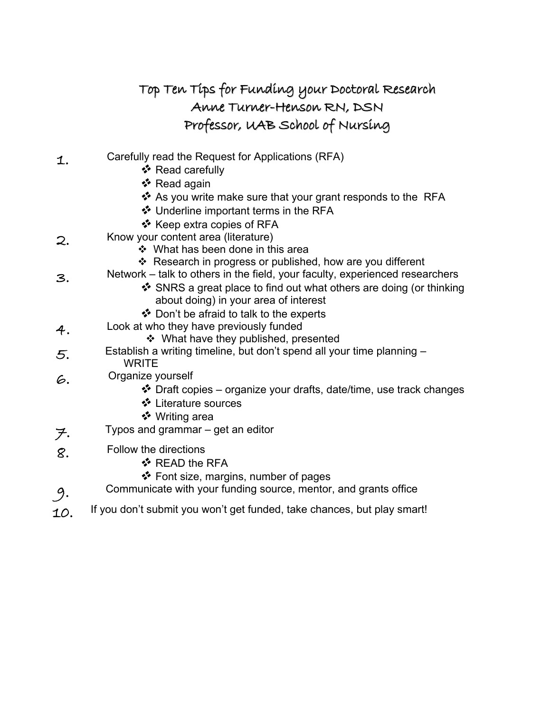|    | Top Ten Tips for Funding your Doctoral Research                                                                                                                                                                                                            |
|----|------------------------------------------------------------------------------------------------------------------------------------------------------------------------------------------------------------------------------------------------------------|
|    | Anne Turner-Henson RN, DSN                                                                                                                                                                                                                                 |
|    | Professor, UAB School of Nursing                                                                                                                                                                                                                           |
| 1. | Carefully read the Request for Applications (RFA)<br>❖ Read carefully<br>❖ Read again<br>❖ As you write make sure that your grant responds to the RFA                                                                                                      |
|    | ❖ Underline important terms in the RFA<br>❖ Keep extra copies of RFA                                                                                                                                                                                       |
| 2. | Know your content area (literature)<br>❖ What has been done in this area                                                                                                                                                                                   |
| З. | ❖ Research in progress or published, how are you different<br>Network – talk to others in the field, your faculty, experienced researchers<br>❖ SNRS a great place to find out what others are doing (or thinking<br>about doing) in your area of interest |
|    | ❖ Don't be afraid to talk to the experts                                                                                                                                                                                                                   |
| 4. | Look at who they have previously funded<br>❖ What have they published, presented                                                                                                                                                                           |
| 5. | Establish a writing timeline, but don't spend all your time planning -<br><b>WRITE</b>                                                                                                                                                                     |
| 6. | Organize yourself<br>❖ Draft copies – organize your drafts, date/time, use track changes<br>❖ Literature sources<br>❖ Writing area                                                                                                                         |
| ヲ. | Typos and grammar – get an editor                                                                                                                                                                                                                          |
| 8. | Follow the directions<br>❖ READ the RFA                                                                                                                                                                                                                    |
| 9. | ❖ Font size, margins, number of pages<br>Communicate with your funding source, mentor, and grants office                                                                                                                                                   |

 $\mathcal{1}\mathit{O}$ . If you don't submit you won't get funded, take chances, but play smart!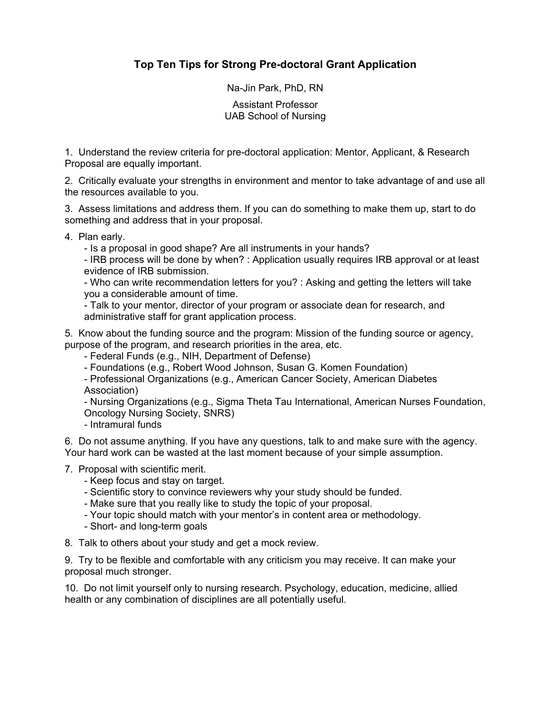# **Top Ten Tips for Strong Pre-doctoral Grant Application**

Na-Jin Park, PhD, RN

Assistant Professor UAB School of Nursing

1. Understand the review criteria for pre-doctoral application: Mentor, Applicant, & Research Proposal are equally important.

2. Critically evaluate your strengths in environment and mentor to take advantage of and use all the resources available to you.

3. Assess limitations and address them. If you can do something to make them up, start to do something and address that in your proposal.

4. Plan early.

- Is a proposal in good shape? Are all instruments in your hands?

- IRB process will be done by when? : Application usually requires IRB approval or at least evidence of IRB submission.

- Who can write recommendation letters for you? : Asking and getting the letters will take you a considerable amount of time.

- Talk to your mentor, director of your program or associate dean for research, and administrative staff for grant application process.

5. Know about the funding source and the program: Mission of the funding source or agency, purpose of the program, and research priorities in the area, etc.

- Federal Funds (e.g., NIH, Department of Defense)

- Foundations (e.g., Robert Wood Johnson, Susan G. Komen Foundation)

- Professional Organizations (e.g., American Cancer Society, American Diabetes Association)

- Nursing Organizations (e.g., Sigma Theta Tau International, American Nurses Foundation, Oncology Nursing Society, SNRS)

- Intramural funds

6. Do not assume anything. If you have any questions, talk to and make sure with the agency. Your hard work can be wasted at the last moment because of your simple assumption.

7. Proposal with scientific merit.

- Keep focus and stay on target.
- Scientific story to convince reviewers why your study should be funded.

- Make sure that you really like to study the topic of your proposal.

- Your topic should match with your mentor's in content area or methodology.
- Short- and long-term goals

8. Talk to others about your study and get a mock review.

9. Try to be flexible and comfortable with any criticism you may receive. It can make your proposal much stronger.

10. Do not limit yourself only to nursing research. Psychology, education, medicine, allied health or any combination of disciplines are all potentially useful.